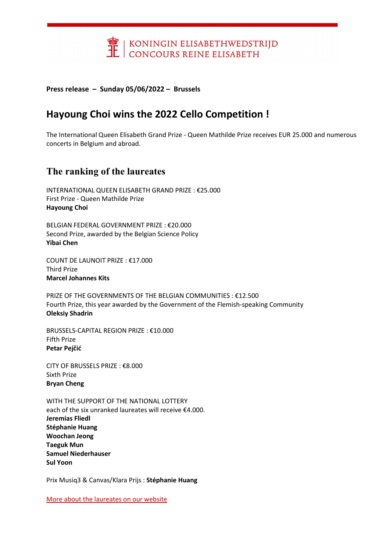

Press release – Sunday 05/06/2022 – Brussels

# Hayoung Choi wins the 2022 Cello Competition !

The International Queen Elisabeth Grand Prize - Queen Mathilde Prize receives EUR 25.000 and numerous concerts in Belgium and abroad.

### The ranking of the laureates

INTERNATIONAL QUEEN ELISABETH GRAND PRIZE : €25.000 First Prize - Queen Mathilde Prize Hayoung Choi

BELGIAN FEDERAL GOVERNMENT PRIZE : €20.000 Second Prize, awarded by the Belgian Science Policy Yibai Chen

COUNT DE LAUNOIT PRIZE : €17.000 Third Prize Marcel Johannes Kits

PRIZE OF THE GOVERNMENTS OF THE BELGIAN COMMUNITIES : €12.500 Fourth Prize, this year awarded by the Government of the Flemish-speaking Community Oleksiy Shadrin

BRUSSELS-CAPITAL REGION PRIZE : €10.000 Fifth Prize Petar Pejčić

CITY OF BRUSSELS PRIZE : €8.000 Sixth Prize Bryan Cheng

WITH THE SUPPORT OF THE NATIONAL LOTTERY each of the six unranked laureates will receive €4.000. Jeremias Fliedl Stéphanie Huang Woochan Jeong Taeguk Mun Samuel Niederhauser Sul Yoon

Prix Musiq3 & Canvas/Klara Prijs : Stéphanie Huang

More about the laureates on our website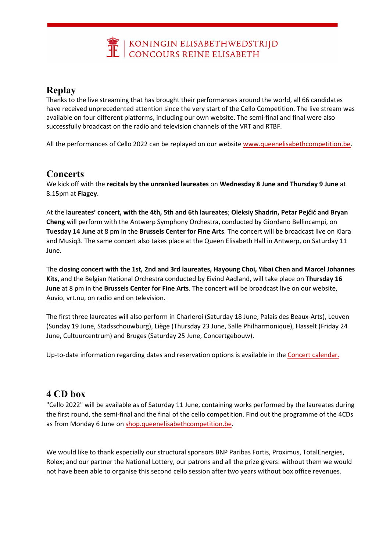

## Replay

Thanks to the live streaming that has brought their performances around the world, all 66 candidates have received unprecedented attention since the very start of the Cello Competition. The live stream was available on four different platforms, including our own website. The semi-final and final were also successfully broadcast on the radio and television channels of the VRT and RTBF.

All the performances of Cello 2022 can be replayed on our website www.queenelisabethcompetition.be.

### **Concerts**

We kick off with the recitals by the unranked laureates on Wednesday 8 June and Thursday 9 June at 8.15pm at Flagey.

At the laureates' concert, with the 4th, 5th and 6th laureates; Oleksiy Shadrin, Petar Pejčić and Bryan Cheng will perform with the Antwerp Symphony Orchestra, conducted by Giordano Bellincampi, on Tuesday 14 June at 8 pm in the Brussels Center for Fine Arts. The concert will be broadcast live on Klara and Musiq3. The same concert also takes place at the Queen Elisabeth Hall in Antwerp, on Saturday 11 June.

The closing concert with the 1st, 2nd and 3rd laureates, Hayoung Choi, Yibai Chen and Marcel Johannes Kits, and the Belgian National Orchestra conducted by Eivind Aadland, will take place on Thursday 16 June at 8 pm in the Brussels Center for Fine Arts. The concert will be broadcast live on our website, Auvio, vrt.nu, on radio and on television.

The first three laureates will also perform in Charleroi (Saturday 18 June, Palais des Beaux-Arts), Leuven (Sunday 19 June, Stadsschouwburg), Liège (Thursday 23 June, Salle Philharmonique), Hasselt (Friday 24 June, Cultuurcentrum) and Bruges (Saturday 25 June, Concertgebouw).

Up-to-date information regarding dates and reservation options is available in the Concert calendar.

### 4 CD box

"Cello 2022" will be available as of Saturday 11 June, containing works performed by the laureates during the first round, the semi-final and the final of the cello competition. Find out the programme of the 4CDs as from Monday 6 June on shop.queenelisabethcompetition.be.

We would like to thank especially our structural sponsors BNP Paribas Fortis, Proximus, TotalEnergies, Rolex; and our partner the National Lottery, our patrons and all the prize givers: without them we would not have been able to organise this second cello session after two years without box office revenues.